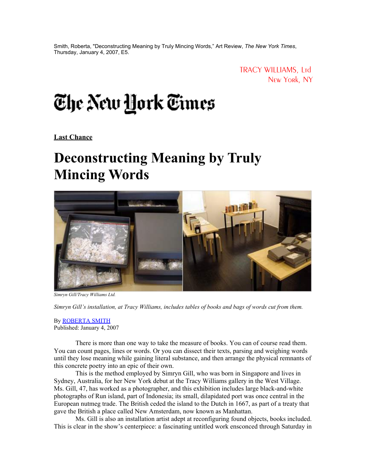Smith, Roberta, "Deconstructing Meaning by Truly Mincing Words," Art Review, *The New York Times*, Thursday, January 4, 2007, E5.

> TRACY WILLIAMS, Ltd New York, NY

## The New <u>H</u>ork Times

**Last Chance**

## **Deconstructing Meaning by Truly Mincing Words**



*Simryn Gill/Tracy Williams Ltd.*

*Simryn Gill's installation, at Tracy Williams, includes tables of books and bags of words cut from them.* 

By [ROBERTA SMITH](http://topics.nytimes.com/top/reference/timestopics/people/s/roberta_smith/index.html?inline=nyt-per) Published: January 4, 2007

There is more than one way to take the measure of books. You can of course read them. You can count pages, lines or words. Or you can dissect their texts, parsing and weighing words until they lose meaning while gaining literal substance, and then arrange the physical remnants of this concrete poetry into an epic of their own.

This is the method employed by Simryn Gill, who was born in Singapore and lives in Sydney, Australia, for her New York debut at the Tracy Williams gallery in the West Village. Ms. Gill, 47, has worked as a photographer, and this exhibition includes large black-and-white photographs of Run island, part of Indonesia; its small, dilapidated port was once central in the European nutmeg trade. The British ceded the island to the Dutch in 1667, as part of a treaty that gave the British a place called New Amsterdam, now known as Manhattan.

Ms. Gill is also an installation artist adept at reconfiguring found objects, books included. This is clear in the show's centerpiece: a fascinating untitled work ensconced through Saturday in